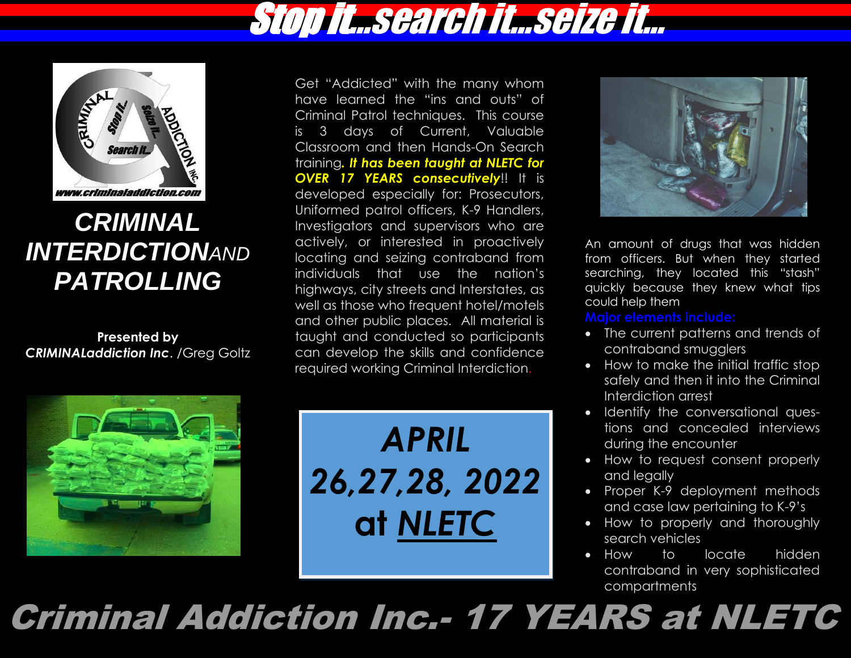



### *CRIMINAL INTERDICTIONAND PATROLLING*

**Presented by**  *CRIMINALaddiction Inc*. /Greg Goltz Get "Addicted" with the many whom have learned the "ins and outs" of Criminal Patrol techniques. This course is 3 days of Current, Valuable Classroom and then Hands-On Search training*. It has been taught at NLETC for OVER 17 YEARS consecutively*!! It is developed especially for: Prosecutors, Uniformed patrol officers, K-9 Handlers, Investigators and supervisors who are actively, or interested in proactively locating and seizing contraband from individuals that use the nation's highways, city streets and Interstates, as well as those who frequent hotel/motels and other public places. All material is taught and conducted so participants can develop the skills and confidence required working Criminal Interdiction.



*APRIL 26,27,28, 2022* **at** *NLETC*



An amount of drugs that was hidden from officers. But when they started searching, they located this "stash" quickly because they knew what tips could help them.

**Major elements include:**

- The current patterns and trends of contraband smugglers
- How to make the initial traffic stop safely and then it into the Criminal Interdiction arrest
- Identify the conversational questions and concealed interviews during the encounter
- How to request consent properly and legally
- Proper K-9 deployment methods and case law pertaining to K-9's
- How to properly and thoroughly search vehicles
- How to locate hidden contraband in very sophisticated compartments

Criminal Addiction Inc.- 17 YEARS at NLETC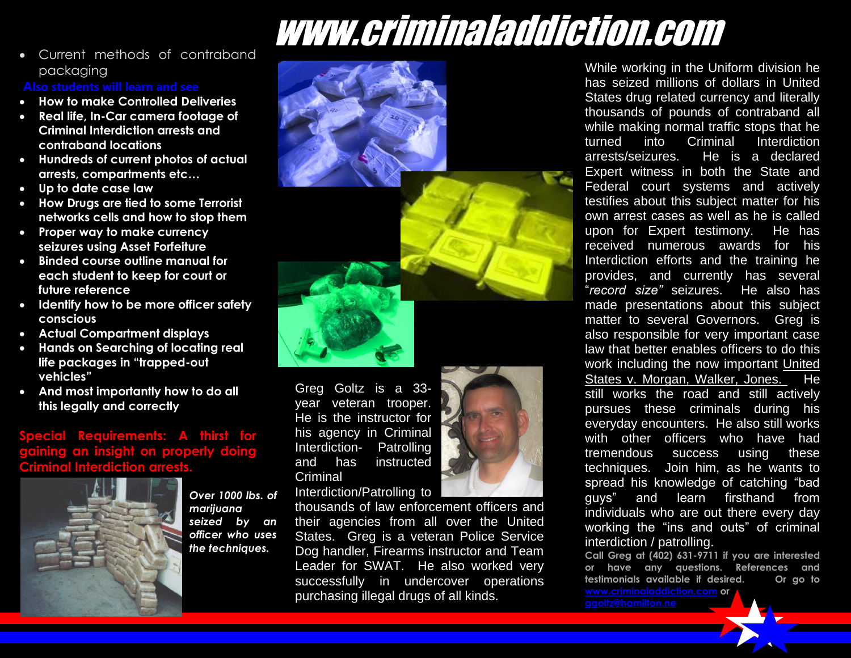• Current methods of contraband packaging

- **How to make Controlled Deliveries**
- **Real life, In-Car camera footage of Criminal Interdiction arrests and contraband locations**
- **Hundreds of current photos of actual arrests, compartments etc…**
- **Up to date case law**
- **How Drugs are tied to some Terrorist networks cells and how to stop them**
- **Proper way to make currency seizures using Asset Forfeiture**
- **Binded course outline manual for each student to keep for court or future reference**
- **Identify how to be more officer safety conscious**
- **Actual Compartment displays**
- **Hands on Searching of locating real life packages in "trapped-out vehicles"**
- **And most importantly how to do all this legally and correctly**

### **Special Requirements: A thirst for gaining an insight on properly doing Criminal Interdiction arrests.**



 *officer who uses Over 1000 lbs. of marijuana seized by an the techniques.*





Greg Goltz is a 33 year veteran trooper. He is the instructor for his agency in Criminal Interdiction- Patrolling and has instructed **Criminal** 

Interdiction/Patrolling to

thousands of law enforcement officers and their agencies from all over the United States. Greg is a veteran Police Service Dog handler, Firearms instructor and Team Leader for SWAT. He also worked very successfully in undercover operations purchasing illegal drugs of all kinds.

While working in the Uniform division he has seized millions of dollars in United States drug related currency and literally thousands of pounds of contraband all while making normal traffic stops that he turned into Criminal Interdiction arrests/seizures. He is a declared Expert witness in both the State and Federal court systems and actively testifies about this subject matter for his own arrest cases as well as he is called upon for Expert testimony. He has received numerous awards for his Interdiction efforts and the training he provides, and currently has several "*record size"* seizures. He also has made presentations about this subject matter to several Governors. Greg is also responsible for very important case law that better enables officers to do this work including the now important United States v. Morgan, Walker, Jones. He still works the road and still actively pursues these criminals during his everyday encounters. He also still works with other officers who have had tremendous success using these techniques. Join him, as he wants to spread his knowledge of catching "bad guys" and learn firsthand from individuals who are out there every day working the "ins and outs" of criminal interdiction / patrolling.

**Call Greg at (402) 631-9711 if you are interested or have any questions. References and testimonials available if desired. Or go to [www.criminaladdiction.com](http://www.criminaladdiction.com/) or**